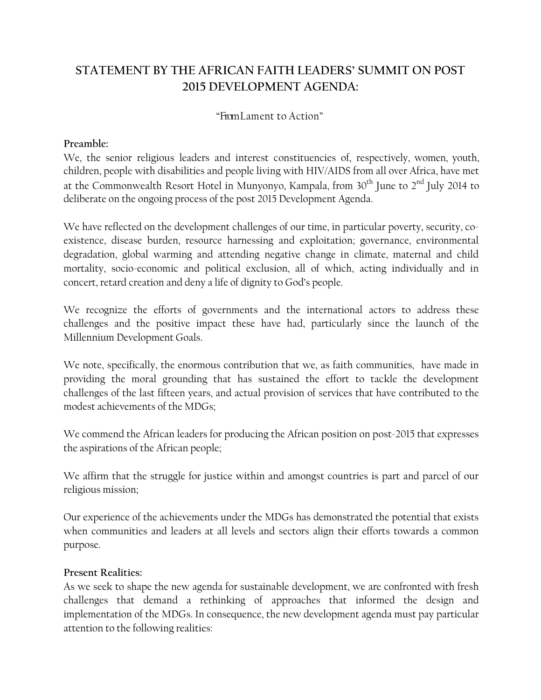# **STATEMENT BY THE AFRICAN FAITH LEADERS' SUMMIT ON POST 2015 DEVELOPMENT AGENDA:**

# "FromLament to Action"

## **Preamble:**

We, the senior religious leaders and interest constituencies of, respectively, women, youth, children, people with disabilities and people living with HIV/AIDS from all over Africa, have met at the Commonwealth Resort Hotel in Munyonyo, Kampala, from 30<sup>th</sup> June to 2<sup>nd</sup> July 2014 to deliberate on the ongoing process of the post 2015 Development Agenda.

We have reflected on the development challenges of our time, in particular poverty, security, co existence, disease burden, resource harnessing and exploitation; governance, environmental degradation, global warming and attending negative change in climate, maternal and child mortality, socio-economic and political exclusion, all of which, acting individually and in concert, retard creation and deny a life of dignity to God's people.

We recognize the efforts of governments and the international actors to address these challenges and the positive impact these have had, particularly since the launch of the Millennium Development Goals.

We note, specifically, the enormous contribution that we, as faith communities, have made in providing the moral grounding that has sustained the effort to tackle the development challenges of the last fifteen years, and actual provision of services that have contributed to the modest achievements of the MDGs;

We commend the African leaders for producing the African position on post-2015 that expresses the aspirations of the African people;

We affirm that the struggle for justice within and amongst countries is part and parcel of our religious mission;

Our experience of the achievements under the MDGs has demonstrated the potential that exists when communities and leaders at all levels and sectors align their efforts towards a common purpose.

### **Present Realities:**

As we seek to shape the new agenda for sustainable development, we are confronted with fresh challenges that demand a rethinking of approaches that informed the design and implementation of the MDGs. In consequence, the new development agenda must pay particular attention to the following realities: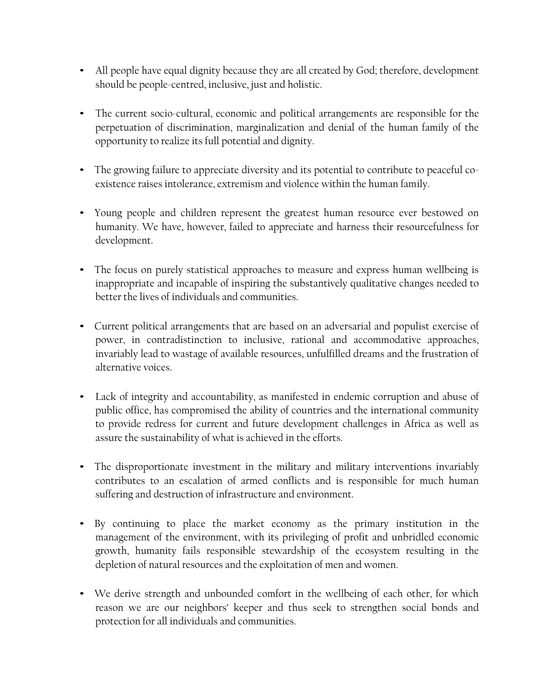- All people have equal dignity because they are all created by God; therefore, development should be people-centred, inclusive, just and holistic.
- The current socio-cultural, economic and political arrangements are responsible for the perpetuation of discrimination, marginalization and denial of the human family of the opportunity to realize its full potential and dignity.
- The growing failure to appreciate diversity and its potential to contribute to peaceful coexistence raises intolerance, extremism and violence within the human family.
- Young people and children represent the greatest human resource ever bestowed on humanity. We have, however, failed to appreciate and harness their resourcefulness for development.
- The focus on purely statistical approaches to measure and express human wellbeing is inappropriate and incapable of inspiring the substantively qualitative changes needed to better the lives of individuals and communities.
- Current political arrangements that are based on an adversarial and populist exercise of power, in contradistinction to inclusive, rational and accommodative approaches, invariably lead to wastage of available resources, unfulfilled dreams and the frustration of alternative voices.
- Lack of integrity and accountability, as manifested in endemic corruption and abuse of public office, has compromised the ability of countries and the international community to provide redress for current and future development challenges in Africa as well as assure the sustainability of what is achieved in the efforts.
- The disproportionate investment in the military and military interventions invariably contributes to an escalation of armed conflicts and is responsible for much human suffering and destruction of infrastructure and environment.
- By continuing to place the market economy as the primary institution in the management of the environment, with its privileging of profit and unbridled economic growth, humanity fails responsible stewardship of the ecosystem resulting in the depletion of natural resources and the exploitation of men and women.
- We derive strength and unbounded comfort in the wellbeing of each other, for which reason we are our neighbors' keeper and thus seek to strengthen social bonds and protection for all individuals and communities.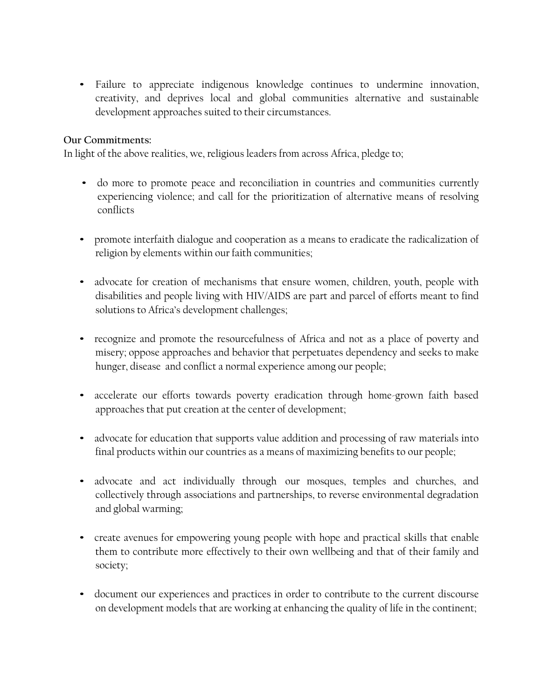• Failure to appreciate indigenous knowledge continues to undermine innovation, creativity, and deprives local and global communities alternative and sustainable development approaches suited to their circumstances.

#### **Our Commitments:**

In light of the above realities, we, religious leaders from across Africa, pledge to;

- do more to promote peace and reconciliation in countries and communities currently experiencing violence; and call for the prioritization of alternative means of resolving conflicts
- promote interfaith dialogue and cooperation as a means to eradicate the radicalization of religion by elements within our faith communities;
- advocate for creation of mechanisms that ensure women, children, youth, people with disabilities and people living with HIV/AIDS are part and parcel of efforts meant to find solutions to Africa's development challenges;
- recognize and promote the resourcefulness of Africa and not as a place of poverty and misery; oppose approaches and behavior that perpetuates dependency and seeks to make hunger, disease and conflict a normal experience among our people;
- accelerate our efforts towards poverty eradication through home-grown faith based approaches that put creation at the center of development;
- advocate for education that supports value addition and processing of raw materials into final products within our countries as a means of maximizing benefits to our people;
- advocate and act individually through our mosques, temples and churches, and collectively through associations and partnerships, to reverse environmental degradation and global warming;
- create avenues for empowering young people with hope and practical skills that enable them to contribute more effectively to their own wellbeing and that of their family and society;
- document our experiences and practices in order to contribute to the current discourse on development models that are working at enhancing the quality of life in the continent;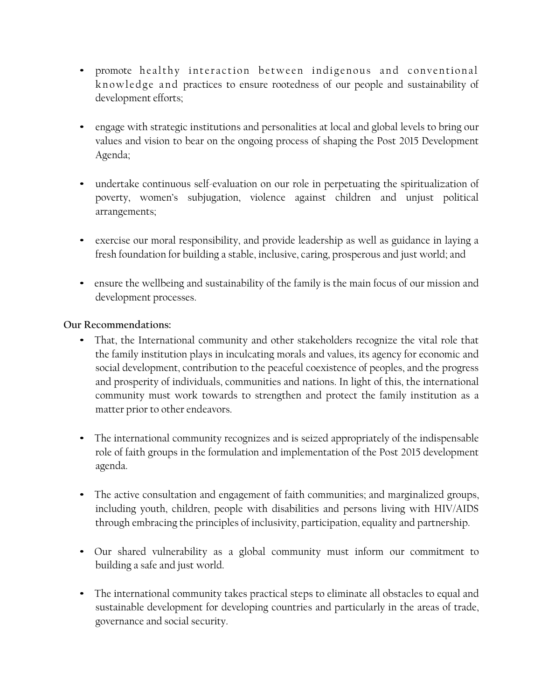- promote healthy interaction between indigenous and conventional<br>knowledge and practices to ensure rootedness of our people and sustainability of • promote healthy interaction between indigenous and conventional knowledge and practices to ensure rootedness of our people and sustainability of development efforts;
- engage with strategic institutions and personalities at local and global levels to bring our values and vision to bear on the ongoing process of shaping the Post 2015 Development Agenda;
- undertake continuous self-evaluation on our role in perpetuating the spiritualization of poverty, women's subjugation, violence against children and unjust political arrangements;
- exercise our moral responsibility, and provide leadership as well as guidance in laying a fresh foundation for building a stable, inclusive, caring, prosperous and just world; and
- ensure the wellbeing and sustainability of the family is the main focus of our mission and development processes.

# **Our Recommendations:**

- That, the International community and other stakeholders recognize the vital role that the family institution plays in inculcating morals and values, its agency for economic and social development, contribution to the peaceful coexistence of peoples, and the progress and prosperity of individuals, communities and nations. In light of this, the international community must work towards to strengthen and protect the family institution as a matter prior to other endeavors.
- The international community recognizes and is seized appropriately of the indispensable role of faith groups in the formulation and implementation of the Post 2015 development agenda.
- The active consultation and engagement of faith communities; and marginalized groups, including youth, children, people with disabilities and persons living with HIV/AIDS through embracing the principles of inclusivity, participation, equality and partnership.
- Our shared vulnerability as a global community must inform our commitment to building a safe and just world.
- The international community takes practical steps to eliminate all obstacles to equal and sustainable development for developing countries and particularly in the areas of trade, governance and social security.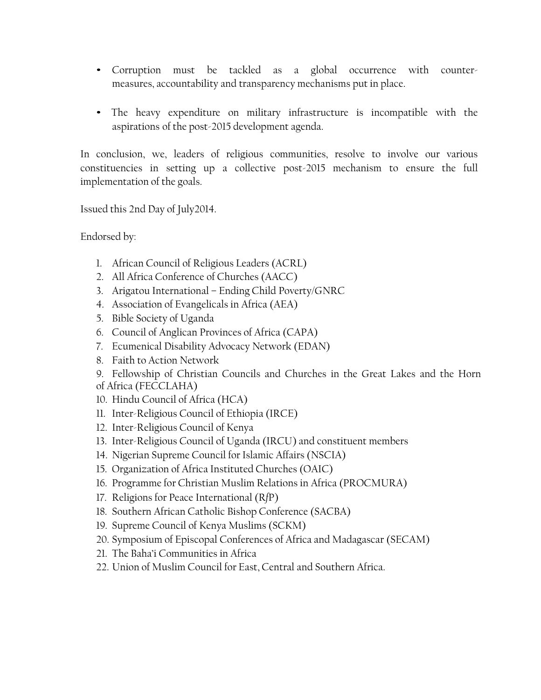- Corruption must be tackled as a global occurrence with counter measures, accountability and transparency mechanisms put in place.
- The heavy expenditure on military infrastructure is incompatible with the aspirations of the post-2015 development agenda.

In conclusion, we, leaders of religious communities, resolve to involve our various constituencies in setting up a collective post-2015 mechanism to ensure the full implementation of the goals.

Issued this 2nd Day of July2014.

Endorsed by:

- 1. African Council of Religious Leaders (ACRL)
- 2. All Africa Conference of Churches (AACC)
- 3. Arigatou International Ending Child Poverty/GNRC
- 4. Association of Evangelicals in Africa (AEA)
- 5. Bible Society of Uganda
- 6. Council of Anglican Provinces of Africa (CAPA)
- 7. Ecumenical Disability Advocacy Network (EDAN)
- 8. Faith to Action Network
- 9. Fellowship of Christian Councils and Churches in the Great Lakes and the Horn of Africa (FECCLAHA)
- 10. Hindu Council of Africa (HCA)
- 11. Inter-Religious Council of Ethiopia (IRCE)
- 12. Inter-Religious Council of Kenya
- 13. Inter-Religious Council of Uganda (IRCU) and constituent members
- 14. Nigerian Supreme Council for Islamic Affairs (NSCIA)
- 15. Organization of Africa Instituted Churches (OAIC)
- 16. Programme for Christian Muslim Relations in Africa (PROCMURA)
- 17. Religions for Peace International (R*f*P)
- 18. Southern African Catholic Bishop Conference (SACBA)
- 19. Supreme Council of Kenya Muslims (SCKM)
- 20. Symposium of Episcopal Conferences of Africa and Madagascar (SECAM)
- 21. The Baha'i Communities in Africa
- 22. Union of Muslim Council for East, Central and Southern Africa.